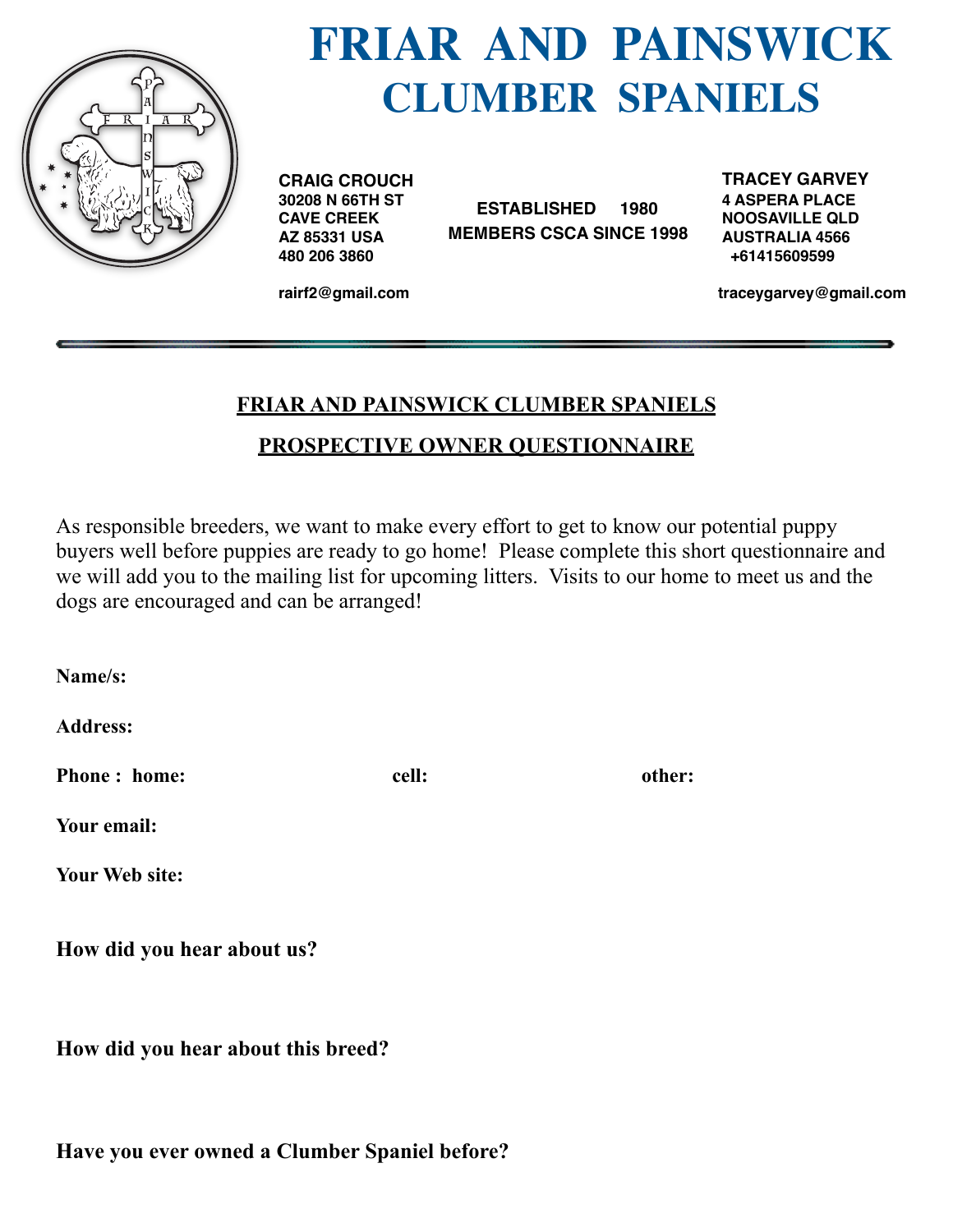

## **FRIAR AND PAINSWICK CLUMBER SPANIELS**

**CRAIG CROUCH 30208 N 66TH ST CAVE CREEK AZ 85331 USA 480 206 3860**

 **ESTABLISHED 1980 MEMBERS CSCA SINCE 1998** **TRACEY GARVEY 4 ASPERA PLACE NOOSAVILLE QLD AUSTRALIA 4566 +61415609599**

**rairf2@gmail.com**

 **[traceygarvey@gmail.com](mailto:traceygarvey@gmail.com)**

## **FRIAR AND PAINSWICK CLUMBER SPANIELS PROSPECTIVE OWNER QUESTIONNAIRE**

As responsible breeders, we want to make every effort to get to know our potential puppy buyers well before puppies are ready to go home! Please complete this short questionnaire and we will add you to the mailing list for upcoming litters. Visits to our home to meet us and the dogs are encouraged and can be arranged!

**Name/s:** 

**Address:** 

**Phone : home: cell: cell: other: other:** 

**Your email:** 

**Your Web site:** 

**How did you hear about us?** 

**How did you hear about this breed?**

**Have you ever owned a Clumber Spaniel before?**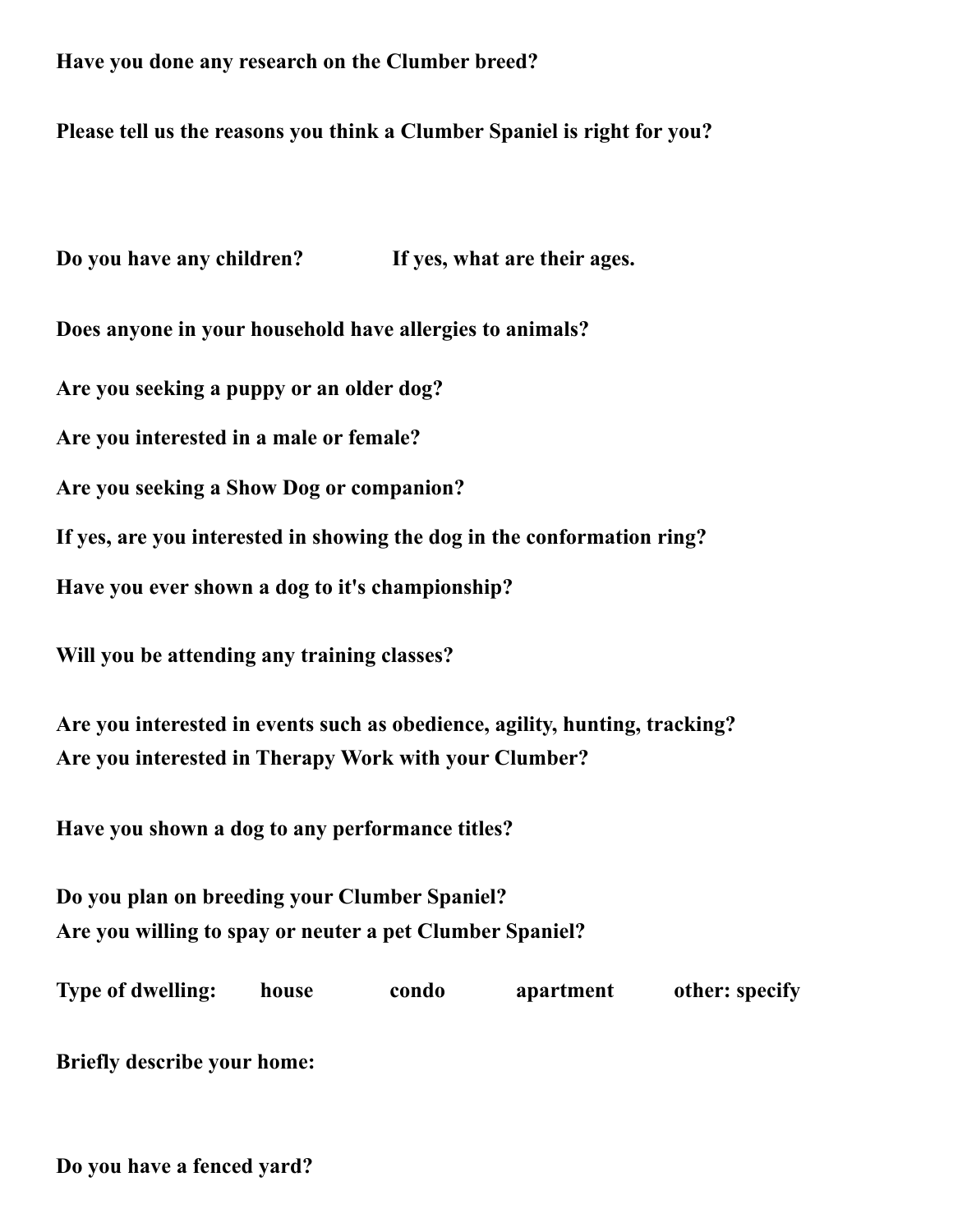## **Have you done any research on the Clumber breed?**

## **Please tell us the reasons you think a Clumber Spaniel is right for you?**

**Do you have any children? If yes, what are their ages.**

**Does anyone in your household have allergies to animals?**

**Are you seeking a puppy or an older dog?** 

**Are you interested in a male or female?** 

**Are you seeking a Show Dog or companion?** 

**If yes, are you interested in showing the dog in the conformation ring?** 

**Have you ever shown a dog to it's championship?** 

**Will you be attending any training classes?** 

**Are you interested in events such as obedience, agility, hunting, tracking? Are you interested in Therapy Work with your Clumber?** 

**Have you shown a dog to any performance titles?**

**Do you plan on breeding your Clumber Spaniel? Are you willing to spay or neuter a pet Clumber Spaniel?** 

**Type of dwelling:** house condo apartment other: specify

**Briefly describe your home:** 

**Do you have a fenced yard?**